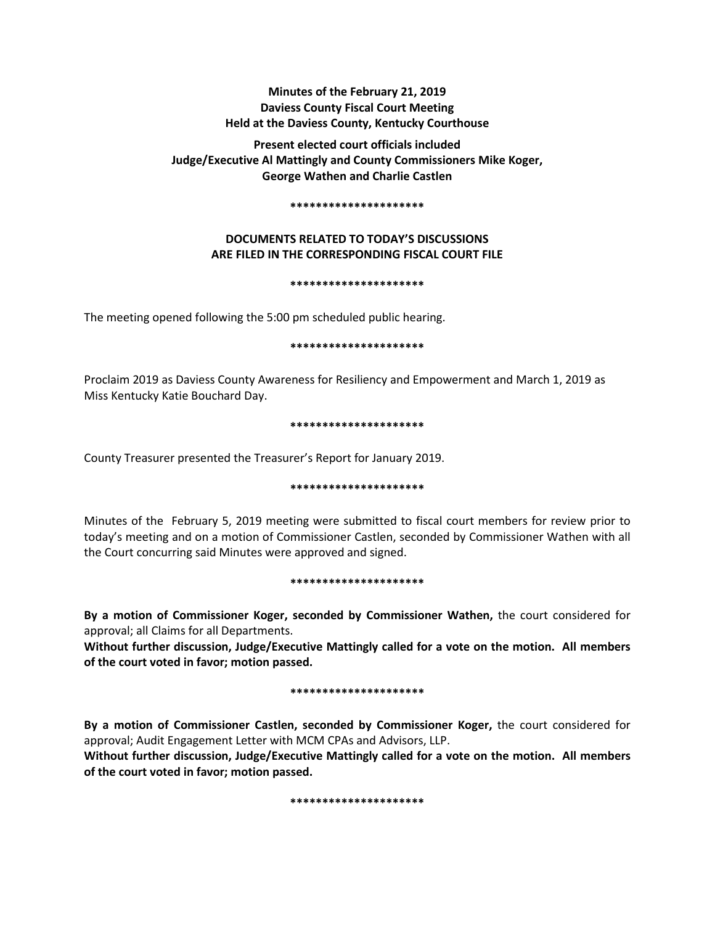# **Minutes of the February 21, 2019 Daviess County Fiscal Court Meeting Held at the Daviess County, Kentucky Courthouse**

**Present elected court officials included Judge/Executive Al Mattingly and County Commissioners Mike Koger, George Wathen and Charlie Castlen** 

#### **\*\*\*\*\*\*\*\*\*\*\*\*\*\*\*\*\*\*\*\*\***

# **DOCUMENTS RELATED TO TODAY'S DISCUSSIONS ARE FILED IN THE CORRESPONDING FISCAL COURT FILE**

#### **\*\*\*\*\*\*\*\*\*\*\*\*\*\*\*\*\*\*\*\*\***

The meeting opened following the 5:00 pm scheduled public hearing.

### **\*\*\*\*\*\*\*\*\*\*\*\*\*\*\*\*\*\*\*\*\***

Proclaim 2019 as Daviess County Awareness for Resiliency and Empowerment and March 1, 2019 as Miss Kentucky Katie Bouchard Day.

#### **\*\*\*\*\*\*\*\*\*\*\*\*\*\*\*\*\*\*\*\*\***

County Treasurer presented the Treasurer's Report for January 2019.

#### **\*\*\*\*\*\*\*\*\*\*\*\*\*\*\*\*\*\*\*\*\***

Minutes of the February 5, 2019 meeting were submitted to fiscal court members for review prior to today's meeting and on a motion of Commissioner Castlen, seconded by Commissioner Wathen with all the Court concurring said Minutes were approved and signed.

#### **\*\*\*\*\*\*\*\*\*\*\*\*\*\*\*\*\*\*\*\*\***

**By a motion of Commissioner Koger, seconded by Commissioner Wathen,** the court considered for approval; all Claims for all Departments.

**Without further discussion, Judge/Executive Mattingly called for a vote on the motion. All members of the court voted in favor; motion passed.** 

#### **\*\*\*\*\*\*\*\*\*\*\*\*\*\*\*\*\*\*\*\*\***

**By a motion of Commissioner Castlen, seconded by Commissioner Koger,** the court considered for approval; Audit Engagement Letter with MCM CPAs and Advisors, LLP.

**Without further discussion, Judge/Executive Mattingly called for a vote on the motion. All members of the court voted in favor; motion passed.** 

**\*\*\*\*\*\*\*\*\*\*\*\*\*\*\*\*\*\*\*\*\***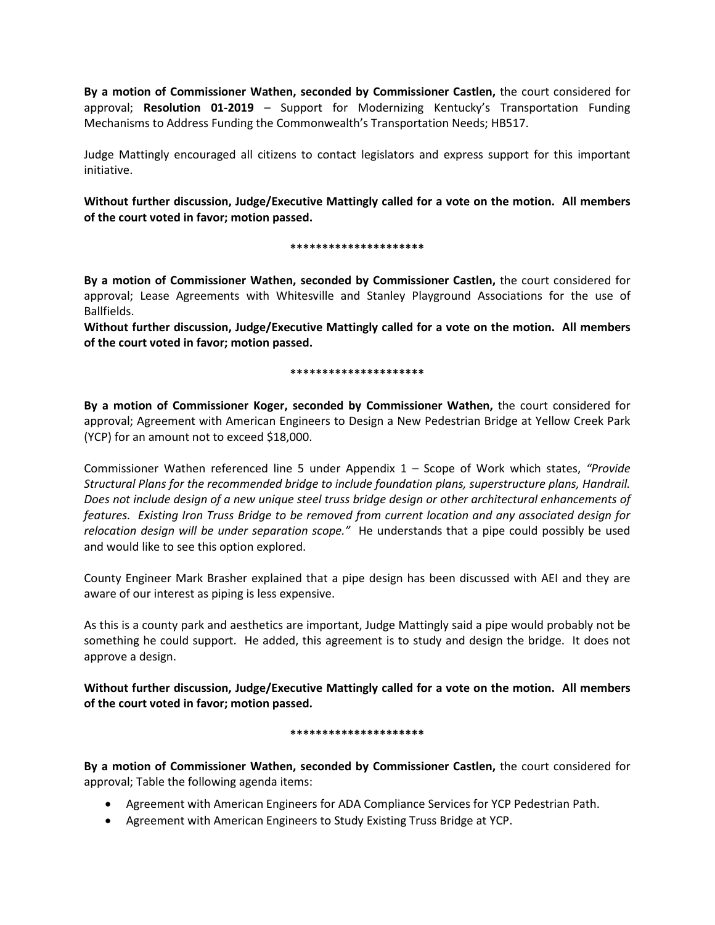**By a motion of Commissioner Wathen, seconded by Commissioner Castlen,** the court considered for approval; **Resolution 01-2019** – Support for Modernizing Kentucky's Transportation Funding Mechanisms to Address Funding the Commonwealth's Transportation Needs; HB517.

Judge Mattingly encouraged all citizens to contact legislators and express support for this important initiative.

**Without further discussion, Judge/Executive Mattingly called for a vote on the motion. All members of the court voted in favor; motion passed.** 

## **\*\*\*\*\*\*\*\*\*\*\*\*\*\*\*\*\*\*\*\*\***

**By a motion of Commissioner Wathen, seconded by Commissioner Castlen,** the court considered for approval; Lease Agreements with Whitesville and Stanley Playground Associations for the use of Ballfields.

**Without further discussion, Judge/Executive Mattingly called for a vote on the motion. All members of the court voted in favor; motion passed.** 

## **\*\*\*\*\*\*\*\*\*\*\*\*\*\*\*\*\*\*\*\*\***

**By a motion of Commissioner Koger, seconded by Commissioner Wathen,** the court considered for approval; Agreement with American Engineers to Design a New Pedestrian Bridge at Yellow Creek Park (YCP) for an amount not to exceed \$18,000.

Commissioner Wathen referenced line 5 under Appendix 1 – Scope of Work which states, *"Provide Structural Plans for the recommended bridge to include foundation plans, superstructure plans, Handrail. Does not include design of a new unique steel truss bridge design or other architectural enhancements of features. Existing Iron Truss Bridge to be removed from current location and any associated design for relocation design will be under separation scope."* He understands that a pipe could possibly be used and would like to see this option explored.

County Engineer Mark Brasher explained that a pipe design has been discussed with AEI and they are aware of our interest as piping is less expensive.

As this is a county park and aesthetics are important, Judge Mattingly said a pipe would probably not be something he could support. He added, this agreement is to study and design the bridge. It does not approve a design.

**Without further discussion, Judge/Executive Mattingly called for a vote on the motion. All members of the court voted in favor; motion passed.** 

## **\*\*\*\*\*\*\*\*\*\*\*\*\*\*\*\*\*\*\*\*\***

**By a motion of Commissioner Wathen, seconded by Commissioner Castlen,** the court considered for approval; Table the following agenda items:

- Agreement with American Engineers for ADA Compliance Services for YCP Pedestrian Path.
- Agreement with American Engineers to Study Existing Truss Bridge at YCP.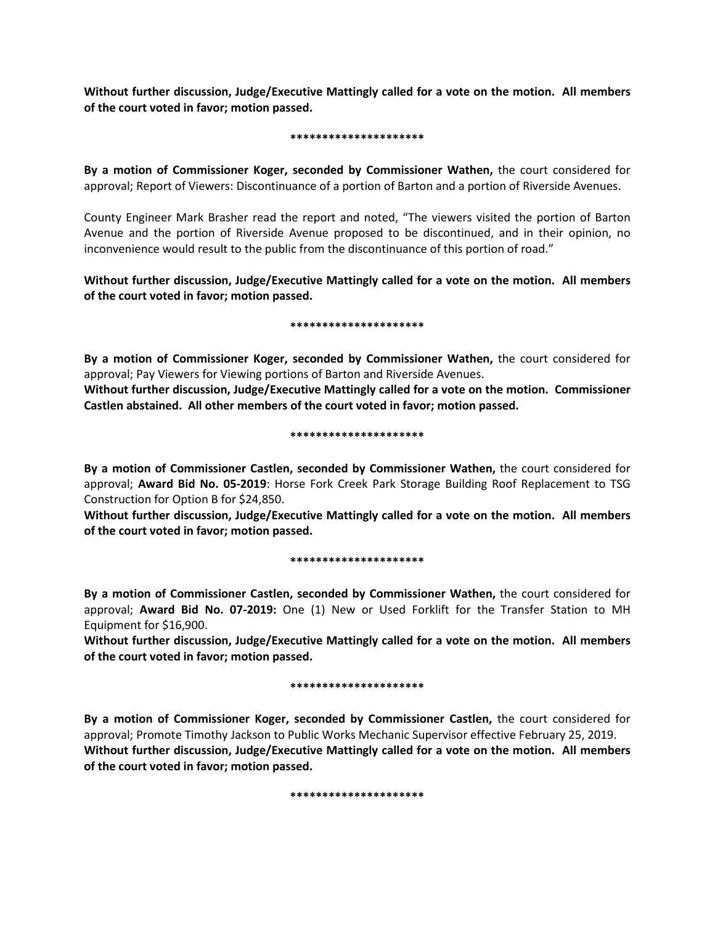**Without further discussion, Judge/Executive Mattingly called for a vote on the motion. All members of the court voted in favor; motion passed.** 

#### **\*\*\*\*\*\*\*\*\*\*\*\*\*\*\*\*\*\*\*\*\***

**By a motion of Commissioner Koger, seconded by Commissioner Wathen,** the court considered for approval; Report of Viewers: Discontinuance of a portion of Barton and a portion of Riverside Avenues.

County Engineer Mark Brasher read the report and noted, "The viewers visited the portion of Barton Avenue and the portion of Riverside Avenue proposed to be discontinued, and in their opinion, no inconvenience would result to the public from the discontinuance of this portion of road."

**Without further discussion, Judge/Executive Mattingly called for a vote on the motion. All members of the court voted in favor; motion passed.** 

#### **\*\*\*\*\*\*\*\*\*\*\*\*\*\*\*\*\*\*\*\*\***

**By a motion of Commissioner Koger, seconded by Commissioner Wathen,** the court considered for approval; Pay Viewers for Viewing portions of Barton and Riverside Avenues.

**Without further discussion, Judge/Executive Mattingly called for a vote on the motion. Commissioner Castlen abstained. All other members of the court voted in favor; motion passed.** 

#### **\*\*\*\*\*\*\*\*\*\*\*\*\*\*\*\*\*\*\*\*\***

**By a motion of Commissioner Castlen, seconded by Commissioner Wathen,** the court considered for approval; **Award Bid No. 05-2019**: Horse Fork Creek Park Storage Building Roof Replacement to TSG Construction for Option B for \$24,850.

**Without further discussion, Judge/Executive Mattingly called for a vote on the motion. All members of the court voted in favor; motion passed.** 

#### **\*\*\*\*\*\*\*\*\*\*\*\*\*\*\*\*\*\*\*\*\***

**By a motion of Commissioner Castlen, seconded by Commissioner Wathen,** the court considered for approval; **Award Bid No. 07-2019:** One (1) New or Used Forklift for the Transfer Station to MH Equipment for \$16,900.

**Without further discussion, Judge/Executive Mattingly called for a vote on the motion. All members of the court voted in favor; motion passed.** 

#### **\*\*\*\*\*\*\*\*\*\*\*\*\*\*\*\*\*\*\*\*\***

**By a motion of Commissioner Koger, seconded by Commissioner Castlen,** the court considered for approval; Promote Timothy Jackson to Public Works Mechanic Supervisor effective February 25, 2019. **Without further discussion, Judge/Executive Mattingly called for a vote on the motion. All members of the court voted in favor; motion passed.** 

**\*\*\*\*\*\*\*\*\*\*\*\*\*\*\*\*\*\*\*\*\***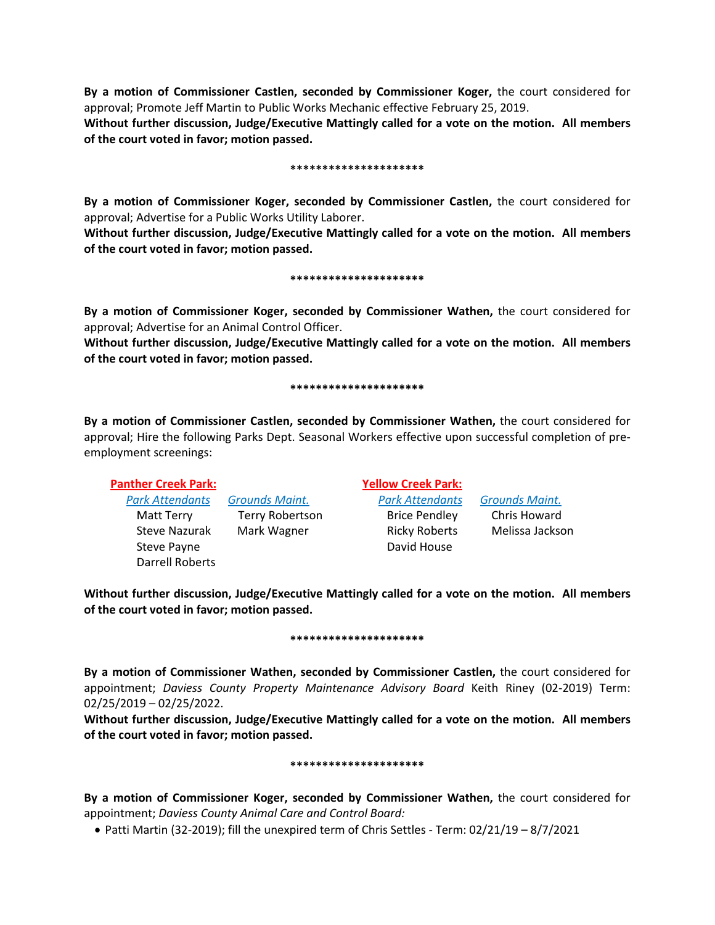**By a motion of Commissioner Castlen, seconded by Commissioner Koger,** the court considered for approval; Promote Jeff Martin to Public Works Mechanic effective February 25, 2019.

**Without further discussion, Judge/Executive Mattingly called for a vote on the motion. All members of the court voted in favor; motion passed.** 

#### **\*\*\*\*\*\*\*\*\*\*\*\*\*\*\*\*\*\*\*\*\***

**By a motion of Commissioner Koger, seconded by Commissioner Castlen,** the court considered for approval; Advertise for a Public Works Utility Laborer.

**Without further discussion, Judge/Executive Mattingly called for a vote on the motion. All members of the court voted in favor; motion passed.** 

**\*\*\*\*\*\*\*\*\*\*\*\*\*\*\*\*\*\*\*\*\***

**By a motion of Commissioner Koger, seconded by Commissioner Wathen,** the court considered for approval; Advertise for an Animal Control Officer.

**Without further discussion, Judge/Executive Mattingly called for a vote on the motion. All members of the court voted in favor; motion passed.** 

#### **\*\*\*\*\*\*\*\*\*\*\*\*\*\*\*\*\*\*\*\*\***

**By a motion of Commissioner Castlen, seconded by Commissioner Wathen,** the court considered for approval; Hire the following Parks Dept. Seasonal Workers effective upon successful completion of preemployment screenings:

Darrell Roberts

*Park Attendants Grounds Maint. Park Attendants Grounds Maint.* Matt Terry Terry Robertson Brice Pendley Chris Howard Steve Nazurak Mark Wagner **Ricky Roberts Melissa Jackson** Steve Payne **David House** David House

**Panther Creek Park: Yellow Creek Park:**

**Without further discussion, Judge/Executive Mattingly called for a vote on the motion. All members of the court voted in favor; motion passed.** 

#### **\*\*\*\*\*\*\*\*\*\*\*\*\*\*\*\*\*\*\*\*\***

**By a motion of Commissioner Wathen, seconded by Commissioner Castlen,** the court considered for appointment; *Daviess County Property Maintenance Advisory Board* Keith Riney (02-2019) Term: 02/25/2019 – 02/25/2022.

**Without further discussion, Judge/Executive Mattingly called for a vote on the motion. All members of the court voted in favor; motion passed.** 

#### **\*\*\*\*\*\*\*\*\*\*\*\*\*\*\*\*\*\*\*\*\***

**By a motion of Commissioner Koger, seconded by Commissioner Wathen,** the court considered for appointment; *Daviess County Animal Care and Control Board:*

• Patti Martin (32-2019); fill the unexpired term of Chris Settles - Term: 02/21/19 – 8/7/2021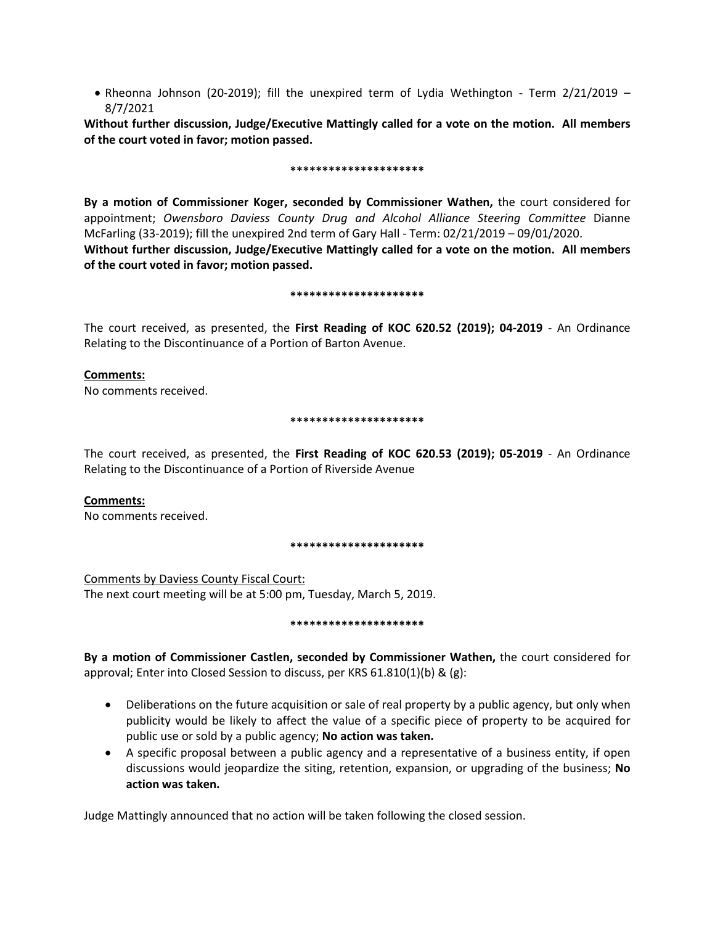• Rheonna Johnson (20-2019); fill the unexpired term of Lydia Wethington - Term 2/21/2019 – 8/7/2021

**Without further discussion, Judge/Executive Mattingly called for a vote on the motion. All members of the court voted in favor; motion passed.** 

#### **\*\*\*\*\*\*\*\*\*\*\*\*\*\*\*\*\*\*\*\*\***

**By a motion of Commissioner Koger, seconded by Commissioner Wathen,** the court considered for appointment; *Owensboro Daviess County Drug and Alcohol Alliance Steering Committee* Dianne McFarling (33-2019); fill the unexpired 2nd term of Gary Hall - Term: 02/21/2019 – 09/01/2020. **Without further discussion, Judge/Executive Mattingly called for a vote on the motion. All members of the court voted in favor; motion passed.** 

#### **\*\*\*\*\*\*\*\*\*\*\*\*\*\*\*\*\*\*\*\*\***

The court received, as presented, the **First Reading of KOC 620.52 (2019); 04-2019** - An Ordinance Relating to the Discontinuance of a Portion of Barton Avenue.

# **Comments:**

No comments received.

## **\*\*\*\*\*\*\*\*\*\*\*\*\*\*\*\*\*\*\*\*\***

The court received, as presented, the **First Reading of KOC 620.53 (2019); 05-2019** - An Ordinance Relating to the Discontinuance of a Portion of Riverside Avenue

## **Comments:**

No comments received.

#### **\*\*\*\*\*\*\*\*\*\*\*\*\*\*\*\*\*\*\*\*\***

Comments by Daviess County Fiscal Court: The next court meeting will be at 5:00 pm, Tuesday, March 5, 2019.

#### **\*\*\*\*\*\*\*\*\*\*\*\*\*\*\*\*\*\*\*\*\***

**By a motion of Commissioner Castlen, seconded by Commissioner Wathen,** the court considered for approval; Enter into Closed Session to discuss, per KRS 61.810(1)(b) & (g):

- Deliberations on the future acquisition or sale of real property by a public agency, but only when publicity would be likely to affect the value of a specific piece of property to be acquired for public use or sold by a public agency; **No action was taken.**
- A specific proposal between a public agency and a representative of a business entity, if open discussions would jeopardize the siting, retention, expansion, or upgrading of the business; **No action was taken.**

Judge Mattingly announced that no action will be taken following the closed session.